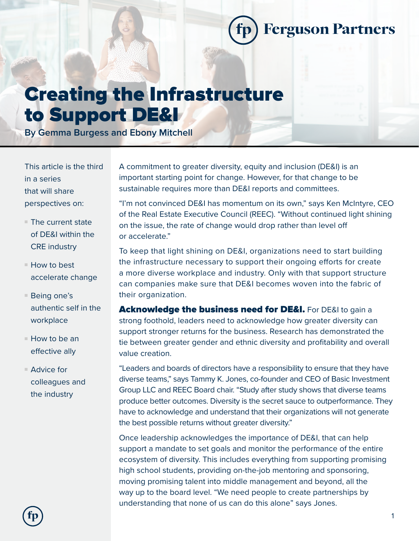**Ferguson Partners** 

## Creating the Infrastructure to Support DE&I

**By Gemma Burgess and Ebony Mitchell**

This article is the third in a series that will share perspectives on:

- $\blacksquare$  The current state of DE&I within the CRE industry
- $\blacksquare$  How to best accelerate change
- $\blacksquare$  Being one's authentic self in the workplace
- $\blacksquare$  How to be an effective ally
- $\blacksquare$  Advice for colleagues and the industry

A commitment to greater diversity, equity and inclusion (DE&I) is an important starting point for change. However, for that change to be sustainable requires more than DE&I reports and committees.

"I'm not convinced DE&I has momentum on its own," says Ken McIntyre, CEO of the Real Estate Executive Council (REEC). "Without continued light shining on the issue, the rate of change would drop rather than level off or accelerate."

To keep that light shining on DE&I, organizations need to start building the infrastructure necessary to support their ongoing efforts for create a more diverse workplace and industry. Only with that support structure can companies make sure that DE&I becomes woven into the fabric of their organization.

Acknowledge the business need for DE&I. For DE&I to gain a strong foothold, leaders need to acknowledge how greater diversity can support stronger returns for the business. Research has demonstrated the tie between greater gender and ethnic diversity and profitability and overall value creation.

"Leaders and boards of directors have a responsibility to ensure that they have diverse teams," says Tammy K. Jones, co-founder and CEO of Basic Investment Group LLC and REEC Board chair. "Study after study shows that diverse teams produce better outcomes. Diversity is the secret sauce to outperformance. They have to acknowledge and understand that their organizations will not generate the best possible returns without greater diversity."

Once leadership acknowledges the importance of DE&I, that can help support a mandate to set goals and monitor the performance of the entire ecosystem of diversity. This includes everything from supporting promising high school students, providing on-the-job mentoring and sponsoring, moving promising talent into middle management and beyond, all the way up to the board level. "We need people to create partnerships by understanding that none of us can do this alone" says Jones.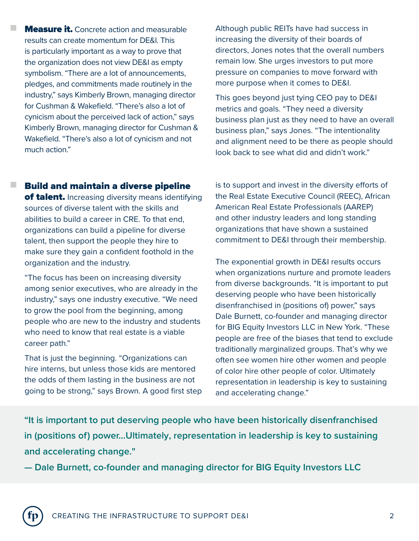**Measure it.** Concrete action and measurable results can create momentum for DE&I. This is particularly important as a way to prove that the organization does not view DE&I as empty symbolism. "There are a lot of announcements, pledges, and commitments made routinely in the industry," says Kimberly Brown, managing director for Cushman & Wakefield. "There's also a lot of cynicism about the perceived lack of action," says Kimberly Brown, managing director for Cushman & Wakefield. "There's also a lot of cynicism and not much action."

n

n

Although public REITs have had success in increasing the diversity of their boards of directors, Jones notes that the overall numbers remain low. She urges investors to put more pressure on companies to move forward with more purpose when it comes to DE&I.

This goes beyond just tying CEO pay to DE&I metrics and goals. "They need a diversity business plan just as they need to have an overall business plan," says Jones. "The intentionality and alignment need to be there as people should look back to see what did and didn't work."

## Build and maintain a diverse pipeline of talent. Increasing diversity means identifying sources of diverse talent with the skills and abilities to build a career in CRE. To that end, organizations can build a pipeline for diverse talent, then support the people they hire to make sure they gain a confident foothold in the organization and the industry.

"The focus has been on increasing diversity among senior executives, who are already in the industry," says one industry executive. "We need to grow the pool from the beginning, among people who are new to the industry and students who need to know that real estate is a viable career path."

That is just the beginning. "Organizations can hire interns, but unless those kids are mentored the odds of them lasting in the business are not going to be strong," says Brown. A good first step is to support and invest in the diversity efforts of the Real Estate Executive Council (REEC), African American Real Estate Professionals (AAREP) and other industry leaders and long standing organizations that have shown a sustained commitment to DE&I through their membership.

The exponential growth in DE&I results occurs when organizations nurture and promote leaders from diverse backgrounds. "It is important to put deserving people who have been historically disenfranchised in (positions of) power," says Dale Burnett, co-founder and managing director for BIG Equity Investors LLC in New York. "These people are free of the biases that tend to exclude traditionally marginalized groups. That's why we often see women hire other women and people of color hire other people of color. Ultimately representation in leadership is key to sustaining and accelerating change."

**"It is important to put deserving people who have been historically disenfranchised in (positions of) power...Ultimately, representation in leadership is key to sustaining and accelerating change."**

**— Dale Burnett, co-founder and managing director for BIG Equity Investors LLC**